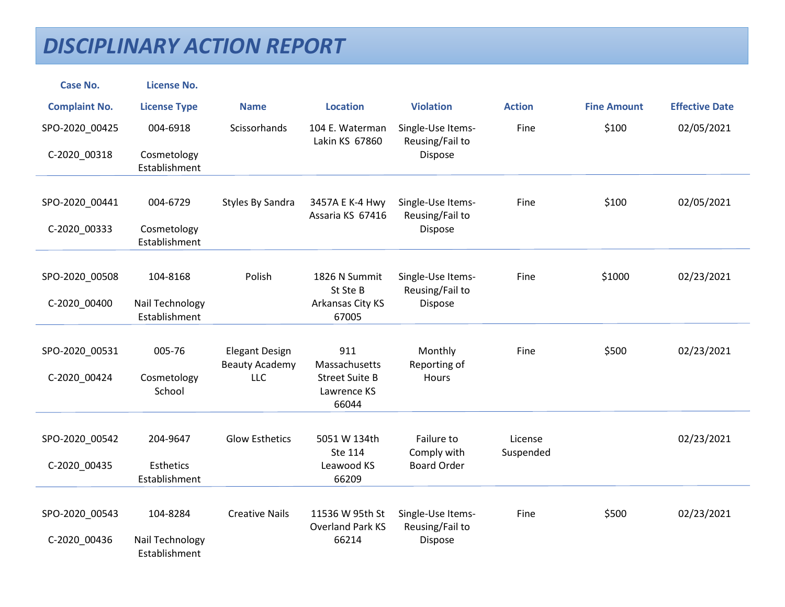| <b>Case No.</b>      | <b>License No.</b>               |                                                |                                               |                                      |                      |                    |                       |
|----------------------|----------------------------------|------------------------------------------------|-----------------------------------------------|--------------------------------------|----------------------|--------------------|-----------------------|
| <b>Complaint No.</b> | <b>License Type</b>              | <b>Name</b>                                    | <b>Location</b>                               | <b>Violation</b>                     | <b>Action</b>        | <b>Fine Amount</b> | <b>Effective Date</b> |
| SPO-2020_00425       | 004-6918                         | Scissorhands                                   | 104 E. Waterman<br>Lakin KS 67860             | Single-Use Items-<br>Reusing/Fail to | Fine                 | \$100              | 02/05/2021            |
| C-2020_00318         | Cosmetology<br>Establishment     |                                                |                                               | Dispose                              |                      |                    |                       |
| SPO-2020_00441       | 004-6729                         | Styles By Sandra                               | 3457A E K-4 Hwy<br>Assaria KS 67416           | Single-Use Items-<br>Reusing/Fail to | Fine                 | \$100              | 02/05/2021            |
| C-2020_00333         | Cosmetology<br>Establishment     |                                                |                                               | Dispose                              |                      |                    |                       |
|                      |                                  |                                                |                                               |                                      |                      |                    |                       |
| SPO-2020 00508       | 104-8168                         | Polish                                         | 1826 N Summit<br>St Ste B                     | Single-Use Items-<br>Reusing/Fail to | Fine                 | \$1000             | 02/23/2021            |
| C-2020_00400         | Nail Technology<br>Establishment |                                                | Arkansas City KS<br>67005                     | <b>Dispose</b>                       |                      |                    |                       |
| SPO-2020_00531       | 005-76                           | <b>Elegant Design</b><br><b>Beauty Academy</b> | 911<br>Massachusetts                          | Monthly<br>Reporting of              | Fine                 | \$500              | 02/23/2021            |
| C-2020_00424         | Cosmetology<br>School            | <b>LLC</b>                                     | <b>Street Suite B</b><br>Lawrence KS<br>66044 | Hours                                |                      |                    |                       |
| SPO-2020_00542       | 204-9647                         | <b>Glow Esthetics</b>                          | 5051 W 134th<br>Ste 114                       | Failure to<br>Comply with            | License<br>Suspended |                    | 02/23/2021            |
| C-2020_00435         | Esthetics<br>Establishment       |                                                | Leawood KS<br>66209                           | <b>Board Order</b>                   |                      |                    |                       |
| SPO-2020_00543       | 104-8284                         | <b>Creative Nails</b>                          | 11536 W 95th St                               | Single-Use Items-                    | Fine                 | \$500              | 02/23/2021            |
|                      |                                  |                                                | <b>Overland Park KS</b>                       | Reusing/Fail to                      |                      |                    |                       |
| C-2020_00436         | Nail Technology<br>Establishment |                                                | 66214                                         | Dispose                              |                      |                    |                       |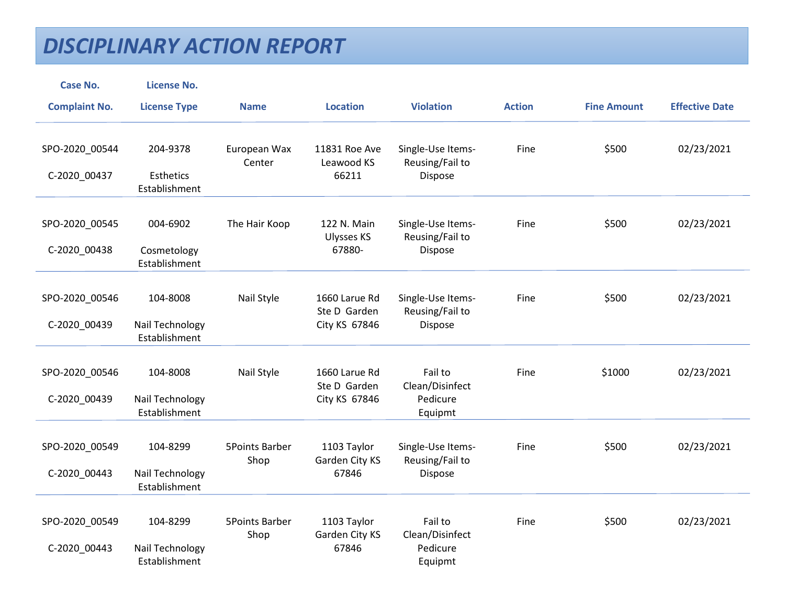| <b>Case No.</b>                | <b>License No.</b>                           |                               |                                                |                                                   |               |                    |                       |
|--------------------------------|----------------------------------------------|-------------------------------|------------------------------------------------|---------------------------------------------------|---------------|--------------------|-----------------------|
| <b>Complaint No.</b>           | <b>License Type</b>                          | <b>Name</b>                   | <b>Location</b>                                | <b>Violation</b>                                  | <b>Action</b> | <b>Fine Amount</b> | <b>Effective Date</b> |
| SPO-2020_00544<br>C-2020_00437 | 204-9378<br>Esthetics<br>Establishment       | European Wax<br>Center        | 11831 Roe Ave<br>Leawood KS<br>66211           | Single-Use Items-<br>Reusing/Fail to<br>Dispose   | Fine          | \$500              | 02/23/2021            |
| SPO-2020_00545<br>C-2020_00438 | 004-6902<br>Cosmetology<br>Establishment     | The Hair Koop                 | 122 N. Main<br><b>Ulysses KS</b><br>67880-     | Single-Use Items-<br>Reusing/Fail to<br>Dispose   | Fine          | \$500              | 02/23/2021            |
| SPO-2020_00546<br>C-2020_00439 | 104-8008<br>Nail Technology<br>Establishment | Nail Style                    | 1660 Larue Rd<br>Ste D Garden<br>City KS 67846 | Single-Use Items-<br>Reusing/Fail to<br>Dispose   | Fine          | \$500              | 02/23/2021            |
| SPO-2020_00546<br>C-2020_00439 | 104-8008<br>Nail Technology<br>Establishment | Nail Style                    | 1660 Larue Rd<br>Ste D Garden<br>City KS 67846 | Fail to<br>Clean/Disinfect<br>Pedicure<br>Equipmt | Fine          | \$1000             | 02/23/2021            |
| SPO-2020 00549<br>C-2020_00443 | 104-8299<br>Nail Technology<br>Establishment | <b>5Points Barber</b><br>Shop | 1103 Taylor<br>Garden City KS<br>67846         | Single-Use Items-<br>Reusing/Fail to<br>Dispose   | Fine          | \$500              | 02/23/2021            |
| SPO-2020_00549<br>C-2020_00443 | 104-8299<br>Nail Technology<br>Establishment | <b>5Points Barber</b><br>Shop | 1103 Taylor<br>Garden City KS<br>67846         | Fail to<br>Clean/Disinfect<br>Pedicure<br>Equipmt | Fine          | \$500              | 02/23/2021            |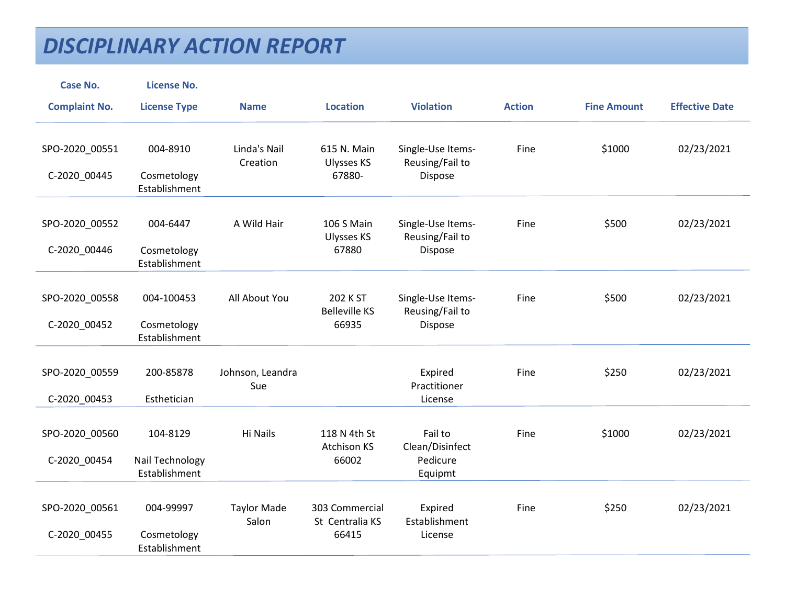| <b>Case No.</b>                | <b>License No.</b>                       |                             |                                            |                                                 |               |                    |                       |
|--------------------------------|------------------------------------------|-----------------------------|--------------------------------------------|-------------------------------------------------|---------------|--------------------|-----------------------|
| <b>Complaint No.</b>           | <b>License Type</b>                      | <b>Name</b>                 | <b>Location</b>                            | <b>Violation</b>                                | <b>Action</b> | <b>Fine Amount</b> | <b>Effective Date</b> |
| SPO-2020_00551<br>C-2020_00445 | 004-8910<br>Cosmetology<br>Establishment | Linda's Nail<br>Creation    | 615 N. Main<br><b>Ulysses KS</b><br>67880- | Single-Use Items-<br>Reusing/Fail to<br>Dispose | Fine          | \$1000             | 02/23/2021            |
|                                |                                          |                             |                                            |                                                 |               |                    |                       |
| SPO-2020_00552<br>C-2020_00446 | 004-6447<br>Cosmetology<br>Establishment | A Wild Hair                 | 106 S Main<br><b>Ulysses KS</b><br>67880   | Single-Use Items-<br>Reusing/Fail to<br>Dispose | Fine          | \$500              | 02/23/2021            |
|                                |                                          |                             |                                            |                                                 |               |                    |                       |
| SPO-2020_00558                 | 004-100453                               | All About You               | 202 K ST<br><b>Belleville KS</b>           | Single-Use Items-<br>Reusing/Fail to            | Fine          | \$500              | 02/23/2021            |
| C-2020_00452                   | Cosmetology<br>Establishment             |                             | 66935                                      | <b>Dispose</b>                                  |               |                    |                       |
| SPO-2020_00559                 | 200-85878                                | Johnson, Leandra            |                                            | Expired                                         | Fine          | \$250              | 02/23/2021            |
| C-2020_00453                   | Esthetician                              | Sue                         |                                            | Practitioner<br>License                         |               |                    |                       |
|                                |                                          |                             |                                            |                                                 |               |                    |                       |
| SPO-2020_00560                 | 104-8129                                 | Hi Nails                    | 118 N 4th St<br><b>Atchison KS</b>         | Fail to                                         | Fine          | \$1000             | 02/23/2021            |
| C-2020_00454                   | Nail Technology<br>Establishment         |                             | 66002                                      | Clean/Disinfect<br>Pedicure<br>Equipmt          |               |                    |                       |
|                                |                                          |                             |                                            |                                                 |               |                    |                       |
| SPO-2020_00561                 | 004-99997                                | <b>Taylor Made</b><br>Salon | 303 Commercial<br>St Centralia KS          | Expired<br>Establishment                        | Fine          | \$250              | 02/23/2021            |
| C-2020_00455                   | Cosmetology<br>Establishment             |                             | 66415                                      | License                                         |               |                    |                       |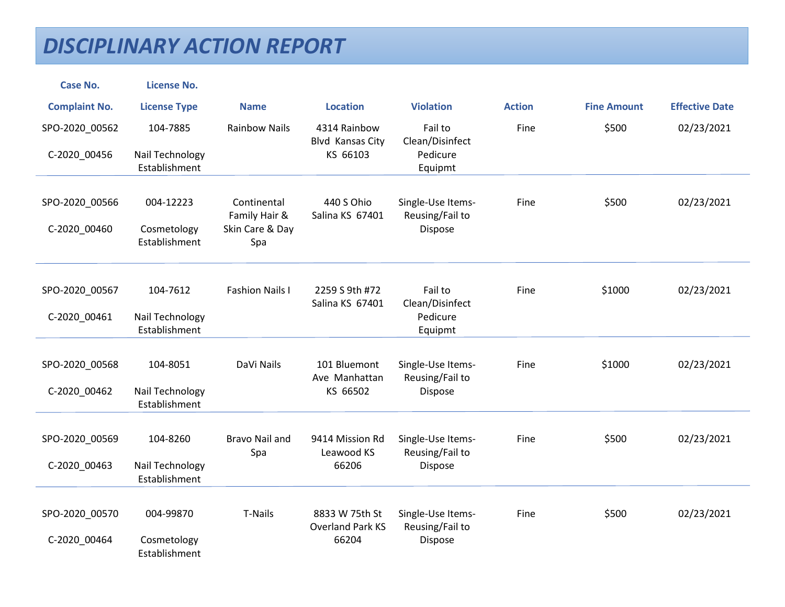| <b>Case No.</b>      | <b>License No.</b>               |                              |                                  |                                      |               |                    |                       |
|----------------------|----------------------------------|------------------------------|----------------------------------|--------------------------------------|---------------|--------------------|-----------------------|
| <b>Complaint No.</b> | <b>License Type</b>              | <b>Name</b>                  | <b>Location</b>                  | <b>Violation</b>                     | <b>Action</b> | <b>Fine Amount</b> | <b>Effective Date</b> |
| SPO-2020_00562       | 104-7885                         | <b>Rainbow Nails</b>         | 4314 Rainbow<br>Blvd Kansas City | Fail to<br>Clean/Disinfect           | Fine          | \$500              | 02/23/2021            |
| C-2020_00456         | Nail Technology<br>Establishment |                              | KS 66103                         | Pedicure<br>Equipmt                  |               |                    |                       |
| SPO-2020_00566       | 004-12223                        | Continental<br>Family Hair & | 440 S Ohio<br>Salina KS 67401    | Single-Use Items-<br>Reusing/Fail to | Fine          | \$500              | 02/23/2021            |
| C-2020_00460         | Cosmetology<br>Establishment     | Skin Care & Day<br>Spa       |                                  | Dispose                              |               |                    |                       |
| SPO-2020_00567       | 104-7612                         | <b>Fashion Nails I</b>       | 2259 S 9th #72                   | Fail to                              | Fine          | \$1000             | 02/23/2021            |
|                      |                                  |                              | Salina KS 67401                  | Clean/Disinfect                      |               |                    |                       |
| C-2020_00461         | Nail Technology<br>Establishment |                              |                                  | Pedicure<br>Equipmt                  |               |                    |                       |
| SPO-2020_00568       | 104-8051                         | DaVi Nails                   | 101 Bluemont                     | Single-Use Items-                    | Fine          | \$1000             | 02/23/2021            |
| C-2020_00462         | Nail Technology<br>Establishment |                              | Ave Manhattan<br>KS 66502        | Reusing/Fail to<br><b>Dispose</b>    |               |                    |                       |
| SPO-2020_00569       | 104-8260                         | <b>Bravo Nail and</b>        | 9414 Mission Rd                  | Single-Use Items-                    | Fine          | \$500              | 02/23/2021            |
| C-2020_00463         | Nail Technology<br>Establishment | Spa                          | Leawood KS<br>66206              | Reusing/Fail to<br>Dispose           |               |                    |                       |
| SPO-2020_00570       | 004-99870                        | T-Nails                      | 8833 W 75th St                   | Single-Use Items-                    | Fine          | \$500              | 02/23/2021            |
| C-2020_00464         | Cosmetology<br>Establishment     |                              | <b>Overland Park KS</b><br>66204 | Reusing/Fail to<br>Dispose           |               |                    |                       |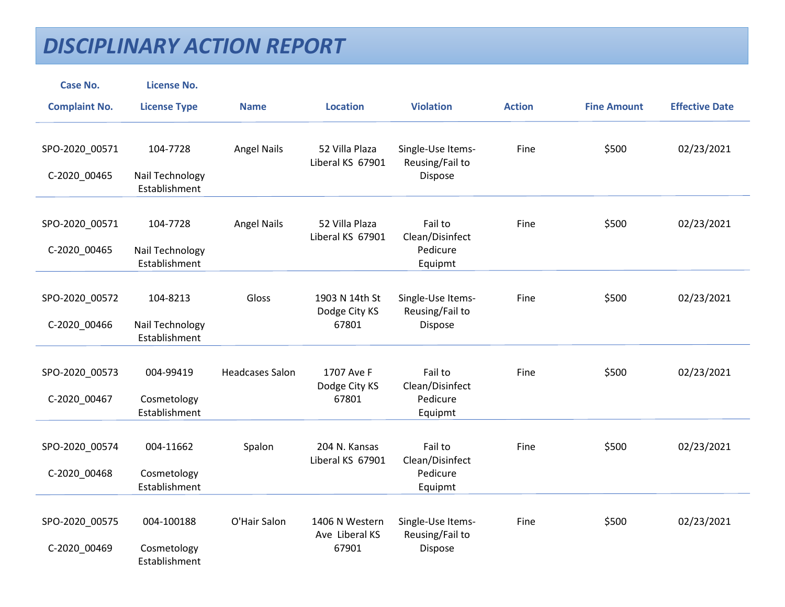| <b>Case No.</b>      | <b>License No.</b>               |                        |                                    |                                      |               |                    |                       |
|----------------------|----------------------------------|------------------------|------------------------------------|--------------------------------------|---------------|--------------------|-----------------------|
| <b>Complaint No.</b> | <b>License Type</b>              | <b>Name</b>            | <b>Location</b>                    | <b>Violation</b>                     | <b>Action</b> | <b>Fine Amount</b> | <b>Effective Date</b> |
|                      |                                  |                        |                                    |                                      |               |                    |                       |
| SPO-2020_00571       | 104-7728                         | <b>Angel Nails</b>     | 52 Villa Plaza<br>Liberal KS 67901 | Single-Use Items-<br>Reusing/Fail to | Fine          | \$500              | 02/23/2021            |
| C-2020_00465         | Nail Technology<br>Establishment |                        |                                    | Dispose                              |               |                    |                       |
| SPO-2020_00571       | 104-7728                         | <b>Angel Nails</b>     | 52 Villa Plaza                     | Fail to                              | Fine          | \$500              | 02/23/2021            |
|                      |                                  |                        | Liberal KS 67901                   | Clean/Disinfect                      |               |                    |                       |
| C-2020_00465         | Nail Technology<br>Establishment |                        |                                    | Pedicure<br>Equipmt                  |               |                    |                       |
|                      |                                  |                        |                                    |                                      |               |                    |                       |
| SPO-2020_00572       | 104-8213                         | Gloss                  | 1903 N 14th St<br>Dodge City KS    | Single-Use Items-<br>Reusing/Fail to | Fine          | \$500              | 02/23/2021            |
| C-2020_00466         | Nail Technology<br>Establishment |                        | 67801                              | Dispose                              |               |                    |                       |
|                      |                                  |                        |                                    |                                      |               |                    |                       |
| SPO-2020_00573       | 004-99419                        | <b>Headcases Salon</b> | 1707 Ave F<br>Dodge City KS        | Fail to<br>Clean/Disinfect           | Fine          | \$500              | 02/23/2021            |
| C-2020_00467         | Cosmetology<br>Establishment     |                        | 67801                              | Pedicure<br>Equipmt                  |               |                    |                       |
|                      |                                  |                        |                                    |                                      |               |                    |                       |
| SPO-2020_00574       | 004-11662                        | Spalon                 | 204 N. Kansas<br>Liberal KS 67901  | Fail to<br>Clean/Disinfect           | Fine          | \$500              | 02/23/2021            |
| C-2020_00468         | Cosmetology                      |                        |                                    | Pedicure                             |               |                    |                       |
|                      | Establishment                    |                        |                                    | Equipmt                              |               |                    |                       |
| SPO-2020_00575       | 004-100188                       | O'Hair Salon           | 1406 N Western                     | Single-Use Items-                    | Fine          | \$500              | 02/23/2021            |
|                      | Cosmetology                      |                        | Ave Liberal KS<br>67901            | Reusing/Fail to                      |               |                    |                       |
| C-2020_00469         | Establishment                    |                        |                                    | Dispose                              |               |                    |                       |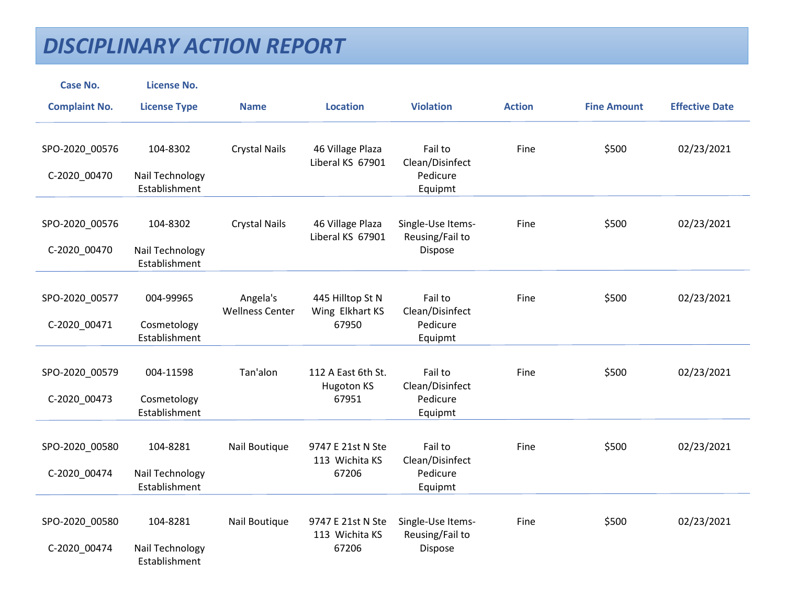| <b>Case No.</b>      | <b>License No.</b>               |                                    |                                         |                                      |               |                    |                       |
|----------------------|----------------------------------|------------------------------------|-----------------------------------------|--------------------------------------|---------------|--------------------|-----------------------|
| <b>Complaint No.</b> | <b>License Type</b>              | <b>Name</b>                        | <b>Location</b>                         | <b>Violation</b>                     | <b>Action</b> | <b>Fine Amount</b> | <b>Effective Date</b> |
| SPO-2020_00576       | 104-8302                         | <b>Crystal Nails</b>               | 46 Village Plaza<br>Liberal KS 67901    | Fail to<br>Clean/Disinfect           | Fine          | \$500              | 02/23/2021            |
| C-2020_00470         | Nail Technology<br>Establishment |                                    |                                         | Pedicure<br>Equipmt                  |               |                    |                       |
|                      |                                  |                                    |                                         |                                      |               |                    |                       |
| SPO-2020_00576       | 104-8302                         | <b>Crystal Nails</b>               | 46 Village Plaza<br>Liberal KS 67901    | Single-Use Items-<br>Reusing/Fail to | Fine          | \$500              | 02/23/2021            |
| C-2020_00470         | Nail Technology<br>Establishment |                                    |                                         | Dispose                              |               |                    |                       |
| SPO-2020_00577       | 004-99965                        | Angela's<br><b>Wellness Center</b> | 445 Hilltop St N<br>Wing Elkhart KS     | Fail to<br>Clean/Disinfect           | Fine          | \$500              | 02/23/2021            |
| C-2020_00471         | Cosmetology<br>Establishment     |                                    | 67950                                   | Pedicure<br>Equipmt                  |               |                    |                       |
|                      |                                  |                                    |                                         |                                      |               |                    |                       |
| SPO-2020_00579       | 004-11598                        | Tan'alon                           | 112 A East 6th St.<br><b>Hugoton KS</b> | Fail to<br>Clean/Disinfect           | Fine          | \$500              | 02/23/2021            |
| C-2020_00473         | Cosmetology<br>Establishment     |                                    | 67951                                   | Pedicure<br>Equipmt                  |               |                    |                       |
|                      |                                  |                                    |                                         |                                      |               |                    |                       |
| SPO-2020_00580       | 104-8281                         | Nail Boutique                      | 9747 E 21st N Ste<br>113 Wichita KS     | Fail to<br>Clean/Disinfect           | Fine          | \$500              | 02/23/2021            |
| C-2020_00474         | Nail Technology<br>Establishment |                                    | 67206                                   | Pedicure<br>Equipmt                  |               |                    |                       |
| SPO-2020_00580       | 104-8281                         | Nail Boutique                      | 9747 E 21st N Ste                       | Single-Use Items-                    | Fine          | \$500              | 02/23/2021            |
|                      |                                  |                                    | 113 Wichita KS                          | Reusing/Fail to                      |               |                    |                       |
| C-2020_00474         | Nail Technology<br>Establishment |                                    | 67206                                   | Dispose                              |               |                    |                       |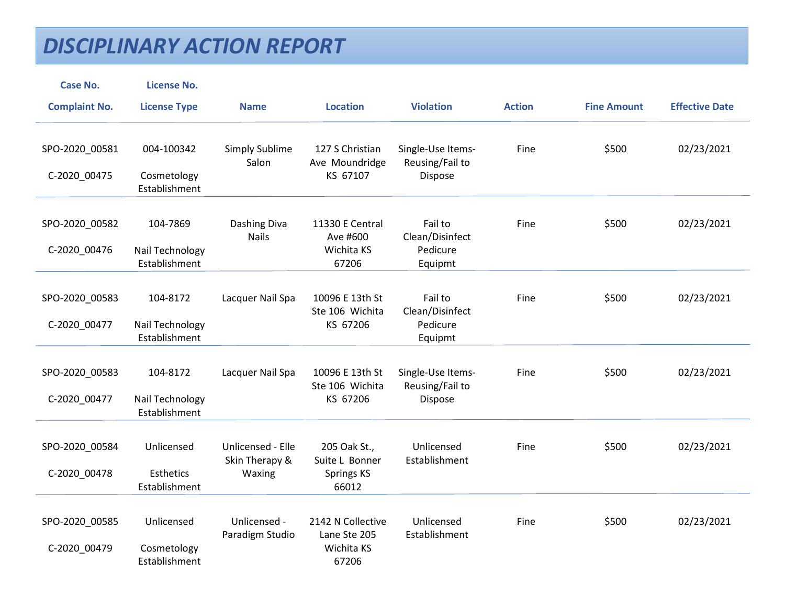| <b>Case No.</b>                | <b>License No.</b>                              |                                               |                                                          |                                                   |               |                    |                       |
|--------------------------------|-------------------------------------------------|-----------------------------------------------|----------------------------------------------------------|---------------------------------------------------|---------------|--------------------|-----------------------|
| <b>Complaint No.</b>           | <b>License Type</b>                             | <b>Name</b>                                   | <b>Location</b>                                          | <b>Violation</b>                                  | <b>Action</b> | <b>Fine Amount</b> | <b>Effective Date</b> |
| SPO-2020_00581<br>C-2020_00475 | 004-100342<br>Cosmetology<br>Establishment      | Simply Sublime<br>Salon                       | 127 S Christian<br>Ave Moundridge<br>KS 67107            | Single-Use Items-<br>Reusing/Fail to<br>Dispose   | Fine          | \$500              | 02/23/2021            |
| SPO-2020_00582<br>C-2020_00476 | 104-7869<br>Nail Technology<br>Establishment    | Dashing Diva<br><b>Nails</b>                  | 11330 E Central<br>Ave #600<br>Wichita KS<br>67206       | Fail to<br>Clean/Disinfect<br>Pedicure<br>Equipmt | Fine          | \$500              | 02/23/2021            |
| SPO-2020_00583<br>C-2020_00477 | 104-8172<br>Nail Technology<br>Establishment    | Lacquer Nail Spa                              | 10096 E 13th St<br>Ste 106 Wichita<br>KS 67206           | Fail to<br>Clean/Disinfect<br>Pedicure<br>Equipmt | Fine          | \$500              | 02/23/2021            |
| SPO-2020_00583<br>C-2020_00477 | 104-8172<br>Nail Technology<br>Establishment    | Lacquer Nail Spa                              | 10096 E 13th St<br>Ste 106 Wichita<br>KS 67206           | Single-Use Items-<br>Reusing/Fail to<br>Dispose   | Fine          | \$500              | 02/23/2021            |
| SPO-2020 00584<br>C-2020_00478 | Unlicensed<br><b>Esthetics</b><br>Establishment | Unlicensed - Elle<br>Skin Therapy &<br>Waxing | 205 Oak St.,<br>Suite L Bonner<br>Springs KS<br>66012    | Unlicensed<br>Establishment                       | Fine          | \$500              | 02/23/2021            |
| SPO-2020_00585<br>C-2020_00479 | Unlicensed<br>Cosmetology<br>Establishment      | Unlicensed -<br>Paradigm Studio               | 2142 N Collective<br>Lane Ste 205<br>Wichita KS<br>67206 | Unlicensed<br>Establishment                       | Fine          | \$500              | 02/23/2021            |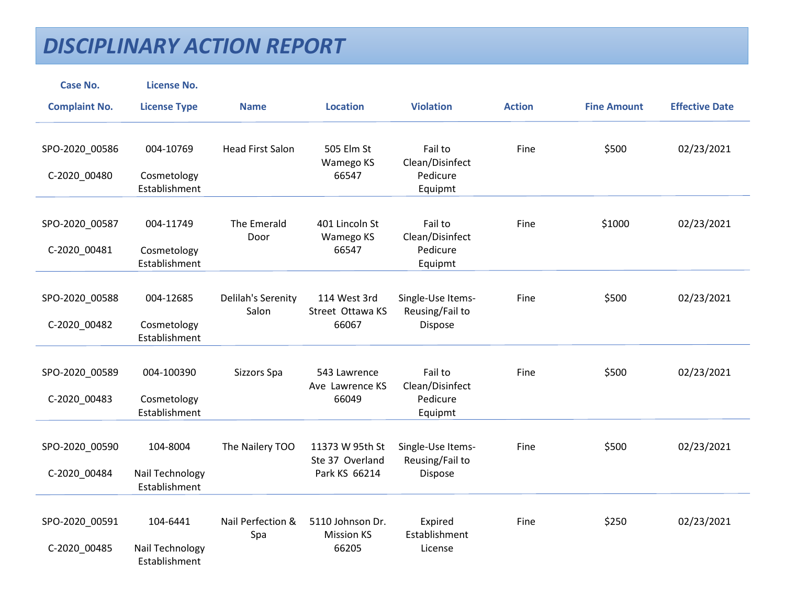| <b>Case No.</b>                | <b>License No.</b>                           |                             |                                                     |                                                   |               |                    |                       |
|--------------------------------|----------------------------------------------|-----------------------------|-----------------------------------------------------|---------------------------------------------------|---------------|--------------------|-----------------------|
| <b>Complaint No.</b>           | <b>License Type</b>                          | <b>Name</b>                 | <b>Location</b>                                     | <b>Violation</b>                                  | <b>Action</b> | <b>Fine Amount</b> | <b>Effective Date</b> |
| SPO-2020_00586<br>C-2020_00480 | 004-10769<br>Cosmetology                     | <b>Head First Salon</b>     | 505 Elm St<br>Wamego KS<br>66547                    | Fail to<br>Clean/Disinfect<br>Pedicure            | Fine          | \$500              | 02/23/2021            |
|                                | Establishment                                |                             |                                                     | Equipmt                                           |               |                    |                       |
| SPO-2020_00587<br>C-2020_00481 | 004-11749<br>Cosmetology<br>Establishment    | The Emerald<br>Door         | 401 Lincoln St<br>Wamego KS<br>66547                | Fail to<br>Clean/Disinfect<br>Pedicure<br>Equipmt | Fine          | \$1000             | 02/23/2021            |
| SPO-2020_00588<br>C-2020_00482 | 004-12685<br>Cosmetology<br>Establishment    | Delilah's Serenity<br>Salon | 114 West 3rd<br>Street Ottawa KS<br>66067           | Single-Use Items-<br>Reusing/Fail to<br>Dispose   | Fine          | \$500              | 02/23/2021            |
| SPO-2020_00589<br>C-2020_00483 | 004-100390<br>Cosmetology<br>Establishment   | Sizzors Spa                 | 543 Lawrence<br>Ave Lawrence KS<br>66049            | Fail to<br>Clean/Disinfect<br>Pedicure<br>Equipmt | Fine          | \$500              | 02/23/2021            |
| SPO-2020 00590<br>C-2020_00484 | 104-8004<br>Nail Technology<br>Establishment | The Nailery TOO             | 11373 W 95th St<br>Ste 37 Overland<br>Park KS 66214 | Single-Use Items-<br>Reusing/Fail to<br>Dispose   | Fine          | \$500              | 02/23/2021            |
| SPO-2020_00591<br>C-2020_00485 | 104-6441<br>Nail Technology<br>Establishment | Nail Perfection &<br>Spa    | 5110 Johnson Dr.<br><b>Mission KS</b><br>66205      | Expired<br>Establishment<br>License               | Fine          | \$250              | 02/23/2021            |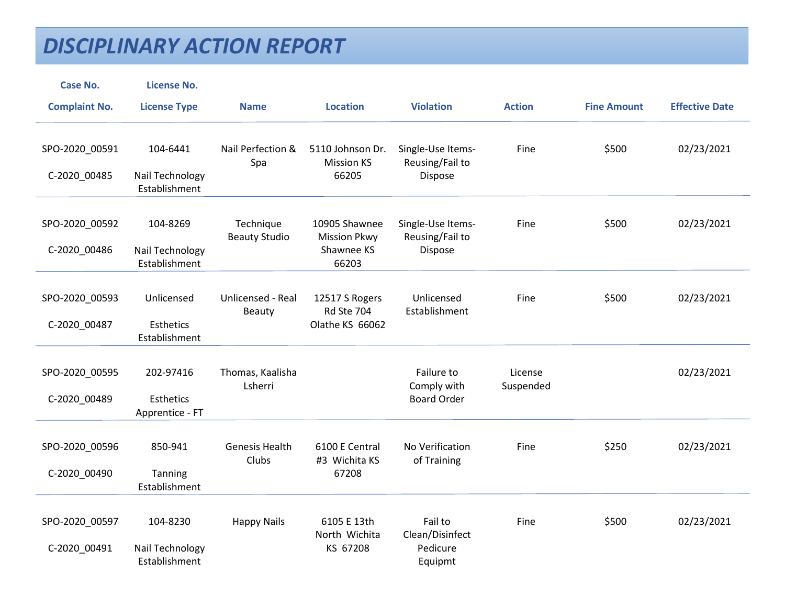| <b>Case No.</b>                | <b>License No.</b>                           |                                    |                                                             |                                                   |                      |                    |                       |
|--------------------------------|----------------------------------------------|------------------------------------|-------------------------------------------------------------|---------------------------------------------------|----------------------|--------------------|-----------------------|
| <b>Complaint No.</b>           | <b>License Type</b>                          | <b>Name</b>                        | <b>Location</b>                                             | <b>Violation</b>                                  | <b>Action</b>        | <b>Fine Amount</b> | <b>Effective Date</b> |
| SPO-2020_00591                 | 104-6441                                     | Nail Perfection &<br>Spa           | 5110 Johnson Dr.<br><b>Mission KS</b>                       | Single-Use Items-<br>Reusing/Fail to              | Fine                 | \$500              | 02/23/2021            |
| C-2020_00485                   | Nail Technology<br>Establishment             |                                    | 66205                                                       | Dispose                                           |                      |                    |                       |
| SPO-2020_00592<br>C-2020_00486 | 104-8269<br>Nail Technology<br>Establishment | Technique<br><b>Beauty Studio</b>  | 10905 Shawnee<br><b>Mission Pkwy</b><br>Shawnee KS<br>66203 | Single-Use Items-<br>Reusing/Fail to<br>Dispose   | Fine                 | \$500              | 02/23/2021            |
| SPO-2020_00593<br>C-2020_00487 | Unlicensed<br>Esthetics<br>Establishment     | <b>Unlicensed - Real</b><br>Beauty | 12517 S Rogers<br>Rd Ste 704<br>Olathe KS 66062             | Unlicensed<br>Establishment                       | Fine                 | \$500              | 02/23/2021            |
| SPO-2020_00595<br>C-2020_00489 | 202-97416<br>Esthetics<br>Apprentice - FT    | Thomas, Kaalisha<br>Lsherri        |                                                             | Failure to<br>Comply with<br><b>Board Order</b>   | License<br>Suspended |                    | 02/23/2021            |
| SPO-2020_00596<br>C-2020_00490 | 850-941<br>Tanning<br>Establishment          | <b>Genesis Health</b><br>Clubs     | 6100 E Central<br>#3 Wichita KS<br>67208                    | No Verification<br>of Training                    | Fine                 | \$250              | 02/23/2021            |
| SPO-2020_00597<br>C-2020_00491 | 104-8230<br>Nail Technology<br>Establishment | <b>Happy Nails</b>                 | 6105 E 13th<br>North Wichita<br>KS 67208                    | Fail to<br>Clean/Disinfect<br>Pedicure<br>Equipmt | Fine                 | \$500              | 02/23/2021            |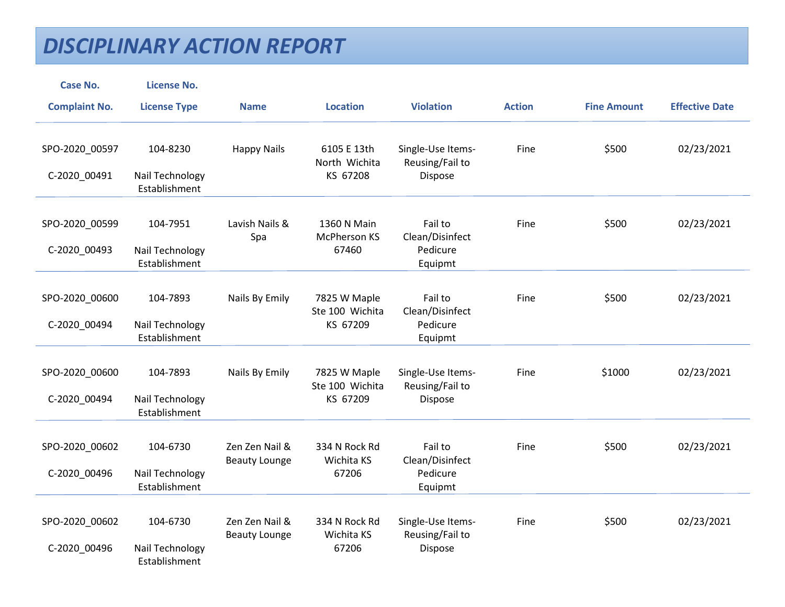| <b>Case No.</b>                | <b>License No.</b>                           |                                        |                                             |                                                   |               |                    |                       |
|--------------------------------|----------------------------------------------|----------------------------------------|---------------------------------------------|---------------------------------------------------|---------------|--------------------|-----------------------|
| <b>Complaint No.</b>           | <b>License Type</b>                          | <b>Name</b>                            | <b>Location</b>                             | <b>Violation</b>                                  | <b>Action</b> | <b>Fine Amount</b> | <b>Effective Date</b> |
| SPO-2020_00597                 | 104-8230                                     | <b>Happy Nails</b>                     | 6105 E 13th<br>North Wichita<br>KS 67208    | Single-Use Items-<br>Reusing/Fail to              | Fine          | \$500              | 02/23/2021            |
| C-2020_00491                   | Nail Technology<br>Establishment             |                                        |                                             | Dispose                                           |               |                    |                       |
| SPO-2020_00599<br>C-2020_00493 | 104-7951<br>Nail Technology<br>Establishment | Lavish Nails &<br>Spa                  | 1360 N Main<br>McPherson KS<br>67460        | Fail to<br>Clean/Disinfect<br>Pedicure<br>Equipmt | Fine          | \$500              | 02/23/2021            |
| SPO-2020_00600<br>C-2020_00494 | 104-7893<br>Nail Technology<br>Establishment | Nails By Emily                         | 7825 W Maple<br>Ste 100 Wichita<br>KS 67209 | Fail to<br>Clean/Disinfect<br>Pedicure<br>Equipmt | Fine          | \$500              | 02/23/2021            |
| SPO-2020_00600<br>C-2020_00494 | 104-7893<br>Nail Technology<br>Establishment | Nails By Emily                         | 7825 W Maple<br>Ste 100 Wichita<br>KS 67209 | Single-Use Items-<br>Reusing/Fail to<br>Dispose   | Fine          | \$1000             | 02/23/2021            |
| SPO-2020_00602<br>C-2020_00496 | 104-6730<br>Nail Technology<br>Establishment | Zen Zen Nail &<br><b>Beauty Lounge</b> | 334 N Rock Rd<br>Wichita KS<br>67206        | Fail to<br>Clean/Disinfect<br>Pedicure<br>Equipmt | Fine          | \$500              | 02/23/2021            |
| SPO-2020_00602<br>C-2020_00496 | 104-6730<br>Nail Technology<br>Establishment | Zen Zen Nail &<br><b>Beauty Lounge</b> | 334 N Rock Rd<br>Wichita KS<br>67206        | Single-Use Items-<br>Reusing/Fail to<br>Dispose   | Fine          | \$500              | 02/23/2021            |